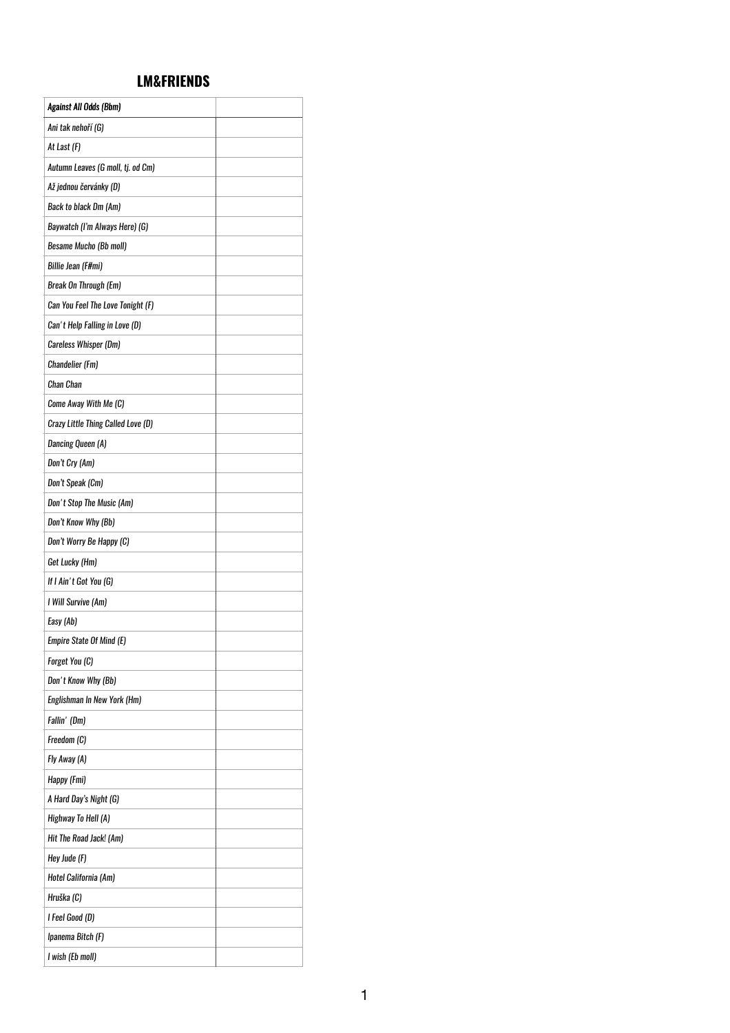## **LM&FRIENDS**

| <b>Against All Odds (Bbm)</b>      |  |
|------------------------------------|--|
| Ani tak nehoří (G)                 |  |
| At Last (F)                        |  |
| Autumn Leaves (G moll, tj. od Cm)  |  |
| Až jednou červánky (D)             |  |
| Back to black Dm (Am)              |  |
| Baywatch (I'm Always Here) (G)     |  |
| <b>Besame Mucho (Bb moll)</b>      |  |
| Billie Jean (F#mi)                 |  |
| <b>Break On Through (Em)</b>       |  |
| Can You Feel The Love Tonight (F)  |  |
| Can't Help Falling in Love (D)     |  |
| Careless Whisper (Dm)              |  |
| <b>Chandelier (Fm)</b>             |  |
| <b>Chan Chan</b>                   |  |
| Come Away With Me (C)              |  |
| Crazy Little Thing Called Love (D) |  |
| <b>Dancing Queen (A)</b>           |  |
| Don't Cry (Am)                     |  |
| Don't Speak (Cm)                   |  |
| Don't Stop The Music (Am)          |  |
| Don't Know Why (Bb)                |  |
| Don't Worry Be Happy (C)           |  |
| Get Lucky (Hm)                     |  |
| If I Ain't Got You (G)             |  |
| I Will Survive (Am)                |  |
| Easy (Ab)                          |  |
| Empire State Of Mind (E)           |  |
| Forget You (C)                     |  |
| Don't Know Why (Bb)                |  |
| Englishman In New York (Hm)        |  |
| Fallin' (Dm)                       |  |
| Freedom (C)                        |  |
| Fly Away (A)                       |  |
| Happy (Fmi)                        |  |
| A Hard Day's Night (G)             |  |
| Highway To Hell (A)                |  |
| Hit The Road Jack! (Am)            |  |
| Hey Jude (F)                       |  |
| Hotel California (Am)              |  |
| Hruška (C)                         |  |
| I Feel Good (D)                    |  |
| Ipanema Bitch (F)                  |  |
| I wish (Eb moll)                   |  |

1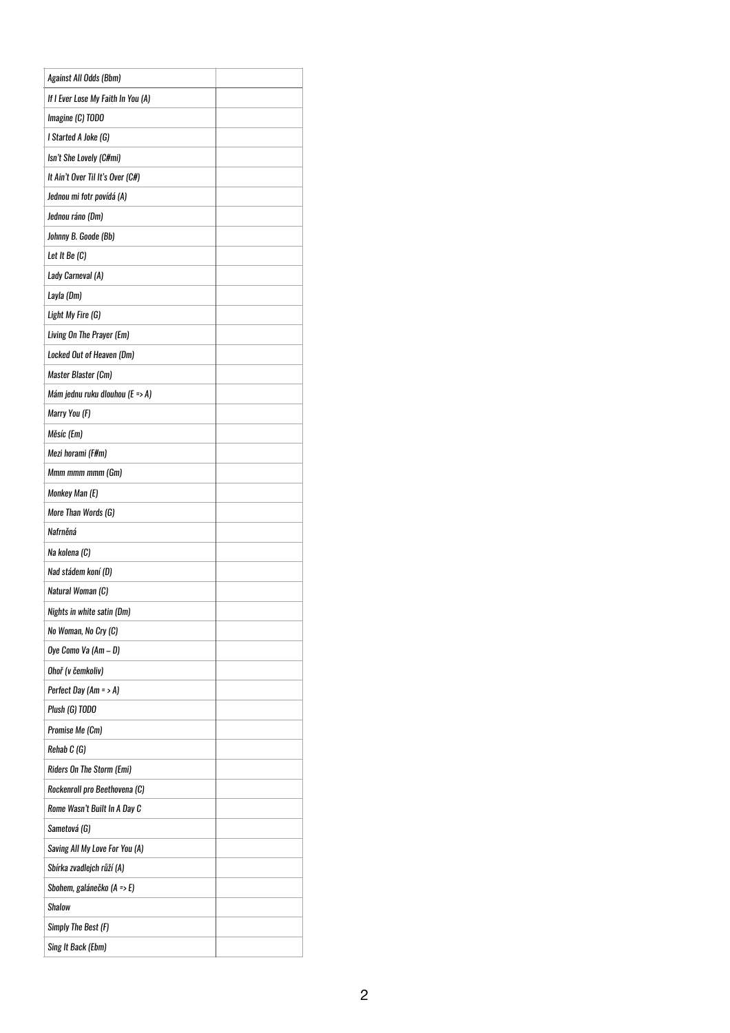| Against All Odds (Bbm)             |  |
|------------------------------------|--|
| If I Ever Lose My Faith In You (A) |  |
| Imagine (C) TODO                   |  |
| I Started A Joke (G)               |  |
| Isn't She Lovely (C#mi)            |  |
| It Ain't Over Til It's Over (C#)   |  |
| Jednou mi fotr povídá (A)          |  |
| Jednou ráno (Dm)                   |  |
| Johnny B. Goode (Bb)               |  |
| Let It Be (C)                      |  |
| Lady Carneval (A)                  |  |
| Layla (Dm)                         |  |
| Light My Fire (G)                  |  |
| Living On The Prayer (Em)          |  |
| Locked Out of Heaven (Dm)          |  |
| Master Blaster (Cm)                |  |
| Mám jednu ruku dlouhou (E => A)    |  |
| Marry You (F)                      |  |
| Měsíc (Em)                         |  |
| Mezi horami (F#m)                  |  |
| Mmm mmm mmm (Gm)                   |  |
| Monkey Man (E)                     |  |
| More Than Words (G)                |  |
| Nafrněná                           |  |
| Na kolena (C)                      |  |
| Nad stádem koní (D)                |  |
| Natural Woman (C)                  |  |
| Nights in white satin (Dm)         |  |
| No Woman, No Cry (C)               |  |
| Oye Como Va (Am – D)               |  |
| Ohoř (v čemkoliv)                  |  |
| Perfect Day $(Am = > A)$           |  |
| Plush (G) TODO                     |  |
| Promise Me (Cm)                    |  |
| Rehab C (G)                        |  |
| <b>Riders On The Storm (Emi)</b>   |  |
| Rockenroll pro Beethovena (C)      |  |
| Rome Wasn't Built In A Day C       |  |
| Sametová (G)                       |  |
| Saving All My Love For You (A)     |  |
| Sbírka zvadlejch růží (A)          |  |
| Sbohem, galánečko (A => E)         |  |
| <b>Shalow</b>                      |  |
| Simply The Best (F)                |  |
| Sing It Back (Ebm)                 |  |